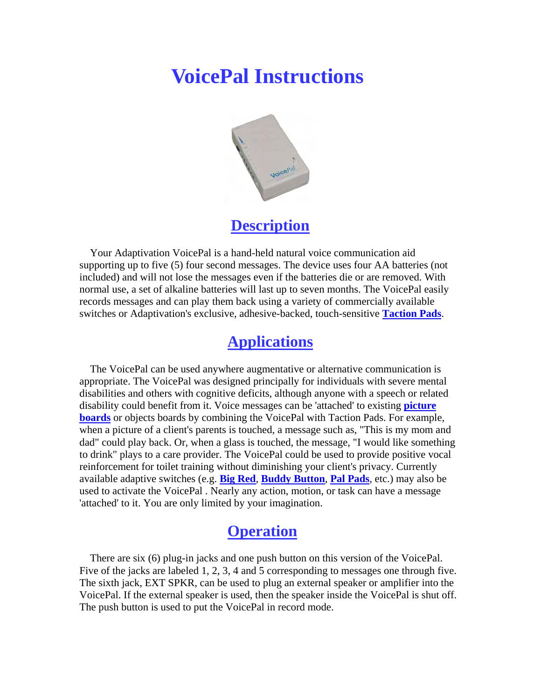# **VoicePal Instructions**



**Description**

 Your Adaptivation VoicePal is a hand-held natural voice communication aid supporting up to five (5) four second messages. The device uses four AA batteries (not included) and will not lose the messages even if the batteries die or are removed. With normal use, a set of alkaline batteries will last up to seven months. The VoicePal easily records messages and can play them back using a variety of commercially available switches or Adaptivation's exclusive, adhesive-backed, touch-sensitive **Taction Pads**.

## **Applications**

 The VoicePal can be used anywhere augmentative or alternative communication is appropriate. The VoicePal was designed principally for individuals with severe mental disabilities and others with cognitive deficits, although anyone with a speech or related disability could benefit from it. Voice messages can be 'attached' to existing **picture boards** or objects boards by combining the VoicePal with Taction Pads. For example, when a picture of a client's parents is touched, a message such as, "This is my mom and dad" could play back. Or, when a glass is touched, the message, "I would like something to drink" plays to a care provider. The VoicePal could be used to provide positive vocal reinforcement for toilet training without diminishing your client's privacy. Currently available adaptive switches (e.g. **Big Red**, **Buddy Button**, **Pal Pads**, etc.) may also be used to activate the VoicePal . Nearly any action, motion, or task can have a message 'attached' to it. You are only limited by your imagination.

## **Operation**

 There are six (6) plug-in jacks and one push button on this version of the VoicePal. Five of the jacks are labeled 1, 2, 3, 4 and 5 corresponding to messages one through five. The sixth jack, EXT SPKR, can be used to plug an external speaker or amplifier into the VoicePal. If the external speaker is used, then the speaker inside the VoicePal is shut off. The push button is used to put the VoicePal in record mode.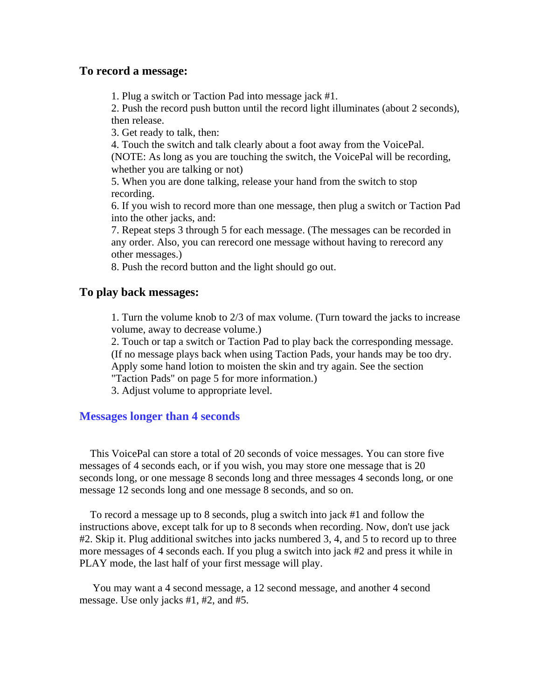#### **To record a message:**

1. Plug a switch or Taction Pad into message jack #1.

2. Push the record push button until the record light illuminates (about 2 seconds), then release.

3. Get ready to talk, then:

4. Touch the switch and talk clearly about a foot away from the VoicePal. (NOTE: As long as you are touching the switch, the VoicePal will be recording, whether you are talking or not)

5. When you are done talking, release your hand from the switch to stop recording.

6. If you wish to record more than one message, then plug a switch or Taction Pad into the other jacks, and:

7. Repeat steps 3 through 5 for each message. (The messages can be recorded in any order. Also, you can rerecord one message without having to rerecord any other messages.)

8. Push the record button and the light should go out.

#### **To play back messages:**

1. Turn the volume knob to 2/3 of max volume. (Turn toward the jacks to increase volume, away to decrease volume.)

2. Touch or tap a switch or Taction Pad to play back the corresponding message. (If no message plays back when using Taction Pads, your hands may be too dry. Apply some hand lotion to moisten the skin and try again. See the section "Taction Pads" on page 5 for more information.)

3. Adjust volume to appropriate level.

### **Messages longer than 4 seconds**

 This VoicePal can store a total of 20 seconds of voice messages. You can store five messages of 4 seconds each, or if you wish, you may store one message that is 20 seconds long, or one message 8 seconds long and three messages 4 seconds long, or one message 12 seconds long and one message 8 seconds, and so on.

 To record a message up to 8 seconds, plug a switch into jack #1 and follow the instructions above, except talk for up to 8 seconds when recording. Now, don't use jack #2. Skip it. Plug additional switches into jacks numbered 3, 4, and 5 to record up to three more messages of 4 seconds each. If you plug a switch into jack #2 and press it while in PLAY mode, the last half of your first message will play.

 You may want a 4 second message, a 12 second message, and another 4 second message. Use only jacks #1, #2, and #5.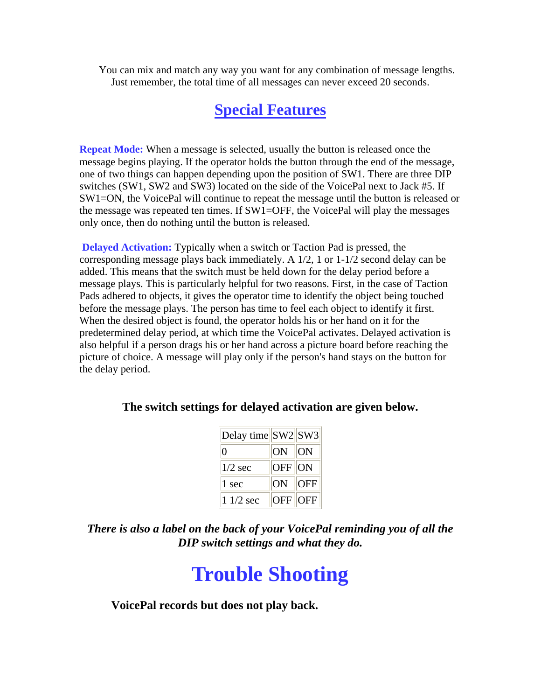You can mix and match any way you want for any combination of message lengths. Just remember, the total time of all messages can never exceed 20 seconds.

# **Special Features**

**Repeat Mode:** When a message is selected, usually the button is released once the message begins playing. If the operator holds the button through the end of the message, one of two things can happen depending upon the position of SW1. There are three DIP switches (SW1, SW2 and SW3) located on the side of the VoicePal next to Jack #5. If SW1=ON, the VoicePal will continue to repeat the message until the button is released or the message was repeated ten times. If SW1=OFF, the VoicePal will play the messages only once, then do nothing until the button is released.

**Delayed Activation:** Typically when a switch or Taction Pad is pressed, the corresponding message plays back immediately. A 1/2, 1 or 1-1/2 second delay can be added. This means that the switch must be held down for the delay period before a message plays. This is particularly helpful for two reasons. First, in the case of Taction Pads adhered to objects, it gives the operator time to identify the object being touched before the message plays. The person has time to feel each object to identify it first. When the desired object is found, the operator holds his or her hand on it for the predetermined delay period, at which time the VoicePal activates. Delayed activation is also helpful if a person drags his or her hand across a picture board before reaching the picture of choice. A message will play only if the person's hand stays on the button for the delay period.

#### **The switch settings for delayed activation are given below.**

| Delay time $ SW2 SW3$ |                |            |
|-----------------------|----------------|------------|
| 0                     | ON ON          |            |
| $1/2$ sec             | <b>OFF</b> ON  |            |
| 1 sec                 | ON             | <b>OFF</b> |
| $11/2$ sec            | <b>OFF OFF</b> |            |

*There is also a label on the back of your VoicePal reminding you of all the DIP switch settings and what they do.*

# **Trouble Shooting**

**VoicePal records but does not play back.**